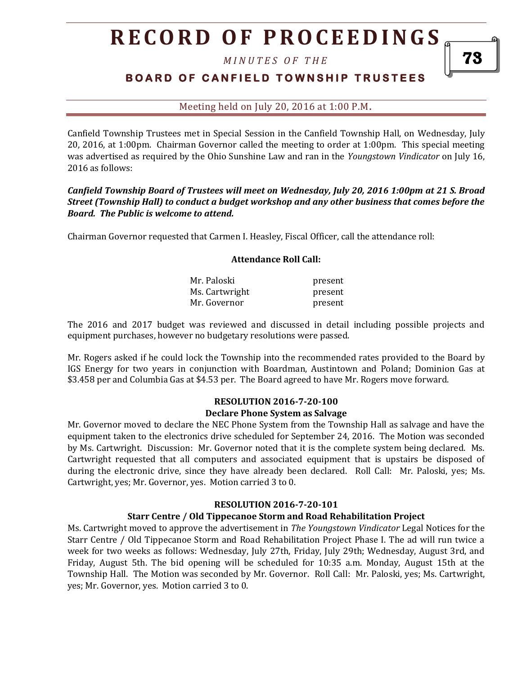*M I N U T E S O F T H E* 

# **B O A R D O F C A N F I E L D T O W N S H I P T R U S T E E S**

Meeting held on July 20, 2016 at 1:00 P.M**.**

Canfield Township Trustees met in Special Session in the Canfield Township Hall, on Wednesday, July 20, 2016, at 1:00pm. Chairman Governor called the meeting to order at 1:00pm. This special meeting was advertised as required by the Ohio Sunshine Law and ran in the *Youngstown Vindicator* on July 16, 2016 as follows:

## *Canfield Township Board of Trustees will meet on Wednesday, July 20, 2016 1:00pm at 21 S. Broad Street (Township Hall) to conduct a budget workshop and any other business that comes before the Board. The Public is welcome to attend.*

Chairman Governor requested that Carmen I. Heasley, Fiscal Officer, call the attendance roll:

#### **Attendance Roll Call:**

| Mr. Paloski    | present |
|----------------|---------|
| Ms. Cartwright | present |
| Mr. Governor   | present |

The 2016 and 2017 budget was reviewed and discussed in detail including possible projects and equipment purchases, however no budgetary resolutions were passed.

Mr. Rogers asked if he could lock the Township into the recommended rates provided to the Board by IGS Energy for two years in conjunction with Boardman, Austintown and Poland; Dominion Gas at \$3.458 per and Columbia Gas at \$4.53 per. The Board agreed to have Mr. Rogers move forward.

#### **RESOLUTION 2016-7-20-100 Declare Phone System as Salvage**

Mr. Governor moved to declare the NEC Phone System from the Township Hall as salvage and have the equipment taken to the electronics drive scheduled for September 24, 2016. The Motion was seconded by Ms. Cartwright. Discussion: Mr. Governor noted that it is the complete system being declared. Ms. Cartwright requested that all computers and associated equipment that is upstairs be disposed of during the electronic drive, since they have already been declared. Roll Call: Mr. Paloski, yes; Ms. Cartwright, yes; Mr. Governor, yes. Motion carried 3 to 0.

## **RESOLUTION 2016-7-20-101**

### **Starr Centre / Old Tippecanoe Storm and Road Rehabilitation Project**

Ms. Cartwright moved to approve the advertisement in *The Youngstown Vindicator* Legal Notices for the Starr Centre / Old Tippecanoe Storm and Road Rehabilitation Project Phase I. The ad will run twice a week for two weeks as follows: Wednesday, July 27th, Friday, July 29th; Wednesday, August 3rd, and Friday, August 5th. The bid opening will be scheduled for 10:35 a.m. Monday, August 15th at the Township Hall. The Motion was seconded by Mr. Governor. Roll Call: Mr. Paloski, yes; Ms. Cartwright, yes; Mr. Governor, yes. Motion carried 3 to 0.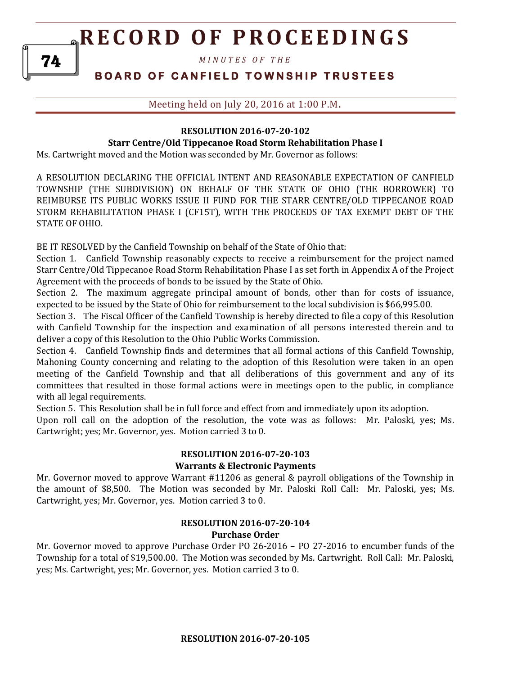*M I N U T E S O F T H E* 

# **B O A R D O F C A N F I E L D T O W N S H I P T R U S T E E S**

Meeting held on July 20, 2016 at 1:00 P.M**.**

## **RESOLUTION 2016-07-20-102 Starr Centre/Old Tippecanoe Road Storm Rehabilitation Phase I**

Ms. Cartwright moved and the Motion was seconded by Mr. Governor as follows:

A RESOLUTION DECLARING THE OFFICIAL INTENT AND REASONABLE EXPECTATION OF CANFIELD TOWNSHIP (THE SUBDIVISION) ON BEHALF OF THE STATE OF OHIO (THE BORROWER) TO REIMBURSE ITS PUBLIC WORKS ISSUE II FUND FOR THE STARR CENTRE/OLD TIPPECANOE ROAD STORM REHABILITATION PHASE I (CF15T), WITH THE PROCEEDS OF TAX EXEMPT DEBT OF THE STATE OF OHIO.

BE IT RESOLVED by the Canfield Township on behalf of the State of Ohio that:

Section 1. Canfield Township reasonably expects to receive a reimbursement for the project named Starr Centre/Old Tippecanoe Road Storm Rehabilitation Phase I as set forth in Appendix A of the Project Agreement with the proceeds of bonds to be issued by the State of Ohio.

Section 2. The maximum aggregate principal amount of bonds, other than for costs of issuance, expected to be issued by the State of Ohio for reimbursement to the local subdivision is \$66,995.00.

Section 3. The Fiscal Officer of the Canfield Township is hereby directed to file a copy of this Resolution with Canfield Township for the inspection and examination of all persons interested therein and to deliver a copy of this Resolution to the Ohio Public Works Commission.

Section 4. Canfield Township finds and determines that all formal actions of this Canfield Township, Mahoning County concerning and relating to the adoption of this Resolution were taken in an open meeting of the Canfield Township and that all deliberations of this government and any of its committees that resulted in those formal actions were in meetings open to the public, in compliance with all legal requirements.

Section 5. This Resolution shall be in full force and effect from and immediately upon its adoption.

Upon roll call on the adoption of the resolution, the vote was as follows: Mr. Paloski, yes; Ms. Cartwright; yes; Mr. Governor, yes. Motion carried 3 to 0.

## **RESOLUTION 2016-07-20-103 Warrants & Electronic Payments**

Mr. Governor moved to approve Warrant #11206 as general & payroll obligations of the Township in the amount of \$8,500. The Motion was seconded by Mr. Paloski Roll Call: Mr. Paloski, yes; Ms. Cartwright, yes; Mr. Governor, yes. Motion carried 3 to 0.

### **RESOLUTION 2016-07-20-104 Purchase Order**

Mr. Governor moved to approve Purchase Order PO 26-2016 – PO 27-2016 to encumber funds of the Township for a total of \$19,500.00. The Motion was seconded by Ms. Cartwright. Roll Call: Mr. Paloski, yes; Ms. Cartwright, yes; Mr. Governor, yes. Motion carried 3 to 0.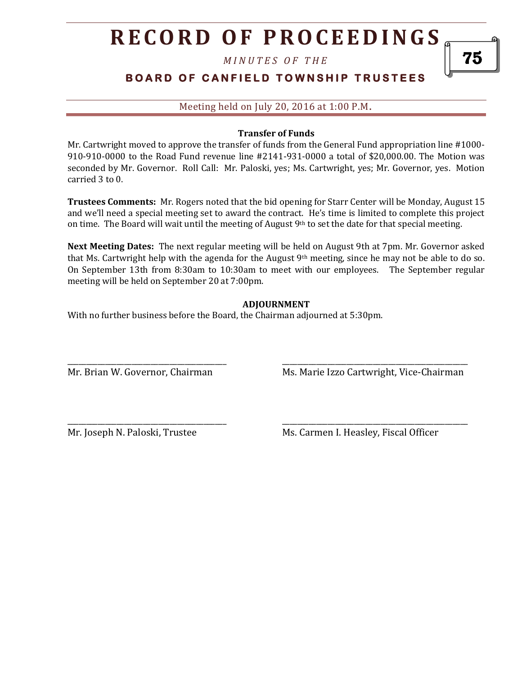*M I N U T E S O F T H E* 

# **BOARD OF CANFIELD TOWNSHIP TRUSTEES**

Meeting held on July 20, 2016 at 1:00 P.M**.**

### **Transfer of Funds**

Mr. Cartwright moved to approve the transfer of funds from the General Fund appropriation line #1000- 910-910-0000 to the Road Fund revenue line #2141-931-0000 a total of \$20,000.00. The Motion was seconded by Mr. Governor. Roll Call: Mr. Paloski, yes; Ms. Cartwright, yes; Mr. Governor, yes. Motion carried 3 to 0.

**Trustees Comments:** Mr. Rogers noted that the bid opening for Starr Center will be Monday, August 15 and we'll need a special meeting set to award the contract. He's time is limited to complete this project on time. The Board will wait until the meeting of August  $9<sup>th</sup>$  to set the date for that special meeting.

**Next Meeting Dates:** The next regular meeting will be held on August 9th at 7pm. Mr. Governor asked that Ms. Cartwright help with the agenda for the August  $9<sup>th</sup>$  meeting, since he may not be able to do so. On September 13th from 8:30am to 10:30am to meet with our employees. The September regular meeting will be held on September 20 at 7:00pm.

## **ADJOURNMENT**

\_\_\_\_\_\_\_\_\_\_\_\_\_\_\_\_\_\_\_\_\_\_\_\_\_\_\_\_\_\_\_\_\_\_\_\_\_\_\_\_\_\_ \_\_\_\_\_\_\_\_\_\_\_\_\_\_\_\_\_\_\_\_\_\_\_\_\_\_\_\_\_\_\_\_\_\_\_\_\_\_\_\_\_\_\_\_\_\_\_\_\_

\_\_\_\_\_\_\_\_\_\_\_\_\_\_\_\_\_\_\_\_\_\_\_\_\_\_\_\_\_\_\_\_\_\_\_\_\_\_\_\_\_\_ \_\_\_\_\_\_\_\_\_\_\_\_\_\_\_\_\_\_\_\_\_\_\_\_\_\_\_\_\_\_\_\_\_\_\_\_\_\_\_\_\_\_\_\_\_\_\_\_\_

With no further business before the Board, the Chairman adjourned at 5:30pm.

Mr. Brian W. Governor, Chairman Ms. Marie Izzo Cartwright, Vice-Chairman

Mr. Joseph N. Paloski, Trustee Ms. Carmen I. Heasley, Fiscal Officer